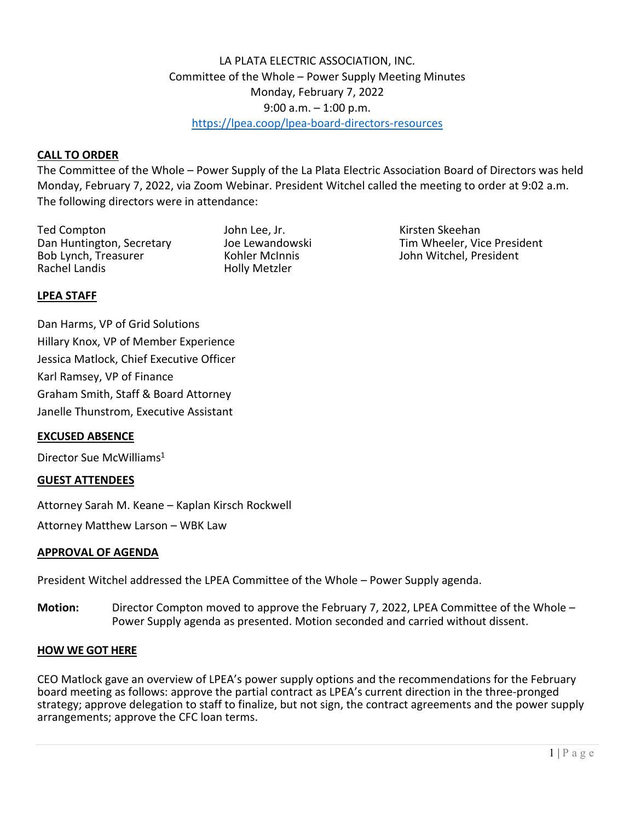# LA PLATA ELECTRIC ASSOCIATION, INC. Committee of the Whole – Power Supply Meeting Minutes Monday, February 7, 2022 9:00 a.m. – 1:00 p.m. <https://lpea.coop/lpea-board-directors-resources>

## **CALL TO ORDER**

The Committee of the Whole – Power Supply of the La Plata Electric Association Board of Directors was held Monday, February 7, 2022, via Zoom Webinar. President Witchel called the meeting to order at 9:02 a.m. The following directors were in attendance:

Ted Compton John Lee, Jr. Kirsten Skeehan Bob Lynch, Treasurer Kohler McInnis John Witchel, President <br>Rachel Landis Hollv Metzler

Holly Metzler

Dan Huntington, Secretary and Joe Lewandowski and Tim Wheeler, Vice President and Bob Lynch, Treasurer and Kohler McInnis

## **LPEA STAFF**

Dan Harms, VP of Grid Solutions Hillary Knox, VP of Member Experience Jessica Matlock, Chief Executive Officer Karl Ramsey, VP of Finance Graham Smith, Staff & Board Attorney Janelle Thunstrom, Executive Assistant

## **EXCUSED ABSENCE**

Director Sue McWilliams<sup>1</sup>

#### **GUEST ATTENDEES**

Attorney Sarah M. Keane – Kaplan Kirsch Rockwell

Attorney Matthew Larson – WBK Law

#### **APPROVAL OF AGENDA**

President Witchel addressed the LPEA Committee of the Whole – Power Supply agenda.

**Motion:** Director Compton moved to approve the February 7, 2022, LPEA Committee of the Whole – Power Supply agenda as presented. Motion seconded and carried without dissent.

#### **HOW WE GOT HERE**

CEO Matlock gave an overview of LPEA's power supply options and the recommendations for the February board meeting as follows: approve the partial contract as LPEA's current direction in the three-pronged strategy; approve delegation to staff to finalize, but not sign, the contract agreements and the power supply arrangements; approve the CFC loan terms.